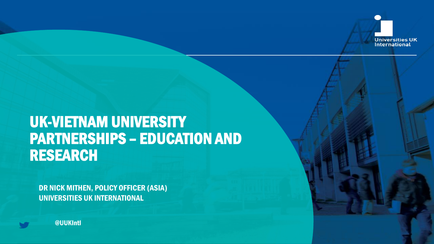

## UK-VIETNAM UNIVERSITY PARTNERSHIPS – EDUCATION AND RESEARCH

DR NICK MITHEN, POLICY OFFICER (ASIA) UNIVERSITIES UK INTERNATIONAL

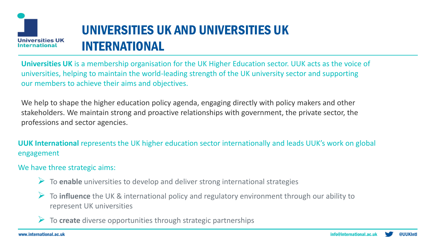

## UNIVERSITIES UK AND UNIVERSITIES UK INTERNATIONAL

**Universities UK** is a membership organisation for the UK Higher Education sector. UUK acts as the voice of universities, helping to maintain the world-leading strength of the UK university sector and supporting our members to achieve their aims and objectives.

We help to shape the higher education policy agenda, engaging directly with policy makers and other stakeholders. We maintain strong and proactive relationships with government, the private sector, the professions and sector agencies.

**UUK International** represents the UK higher education sector internationally and leads UUK's work on global engagement

### We have three strategic aims:

- ➢ To **enable** universities to develop and deliver strong international strategies
- ➢ To **influence** the UK & international policy and regulatory environment through our ability to represent UK universities
- ➢ To **create** diverse opportunities through strategic partnerships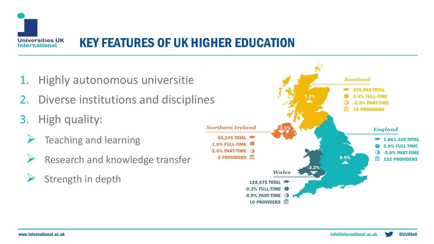

### KEY FEATURES OF UK HIGHER EDUCATION

- 1. Highly autonomous universities
- 2. Diverse institutions and disciplines
- 3. High quality:
	- ➢ Teaching and learning
	- Research and knowledge transfer
	- Strength in depth

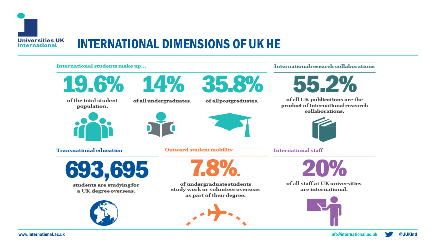

### INTERNATIONAL DIMENSIONS OF UK HE

#### International students make up...



of the total student population.



**Transnational education** 



students are studying for a UK degree overseas.





of all undergraduates.



of all postgraduates.



**Outward student mobility** 



of undergraduate students study work or volunteer overseas as part of their degree.



#### International research collaborations



of all UK publications are the product of international research collaborations.



**International staff** 



of all staff at UK universities are international.

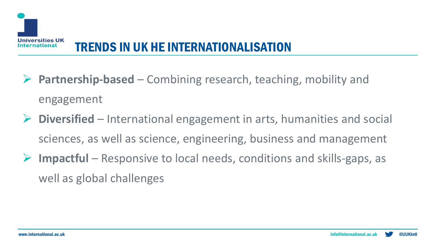

- Partnership-based Combining research, teaching, mobility and engagement
- ➢ **Diversified** International engagement in arts, humanities and social sciences, as well as science, engineering, business and management
- ➢ **Impactful** Responsive to local needs, conditions and skills-gaps, as well as global challenges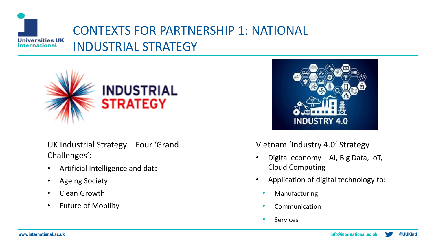### CONTEXTS FOR PARTNERSHIP 1: NATIONAL **Universities UK** INDUSTRIAL STRATEGY **International**



UK Industrial Strategy – Four 'Grand Challenges':

- Artificial Intelligence and data
- Ageing Society
- Clean Growth
- Future of Mobility



Vietnam 'Industry 4.0' Strategy

- Digital economy AI, Big Data, IoT, Cloud Computing
- Application of digital technology to:
	- **Manufacturing**
	- **Communication**
	- **Services**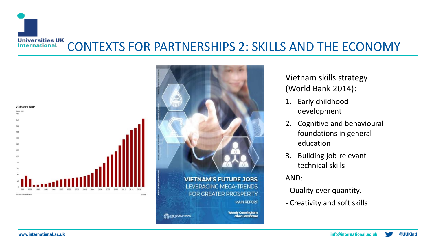





Vietnam skills strategy (World Bank 2014):

- 1. Early childhood development
- 2. Cognitive and behavioural foundations in general education
- 3. Building job-relevant technical skills

AND:

- Quality over quantity.
- Creativity and soft skills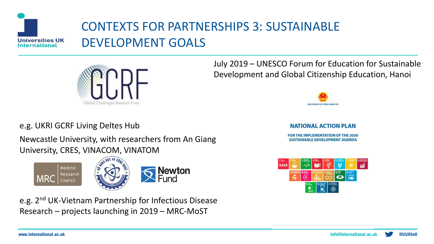

## CONTEXTS FOR PARTNERSHIPS 3: SUSTAINABLE DEVELOPMENT GOALS



### e.g. UKRI GCRF Living Deltes Hub

Newcastle University, with researchers from An Giang University, CRES, VINACOM, VINATOM



e.g. 2nd UK-Vietnam Partnership for Infectious Disease Research – projects launching in 2019 – MRC-MoST

July 2019 – UNESCO Forum for Education for Sustainable Development and Global Citizenship Education, Hanoi



#### **NATIONAL ACTION PLAN**

FOR THE IMPLEMENTATION OF THE 2030 **SUSTAINABLE DEVELOPMENT AGENDA**